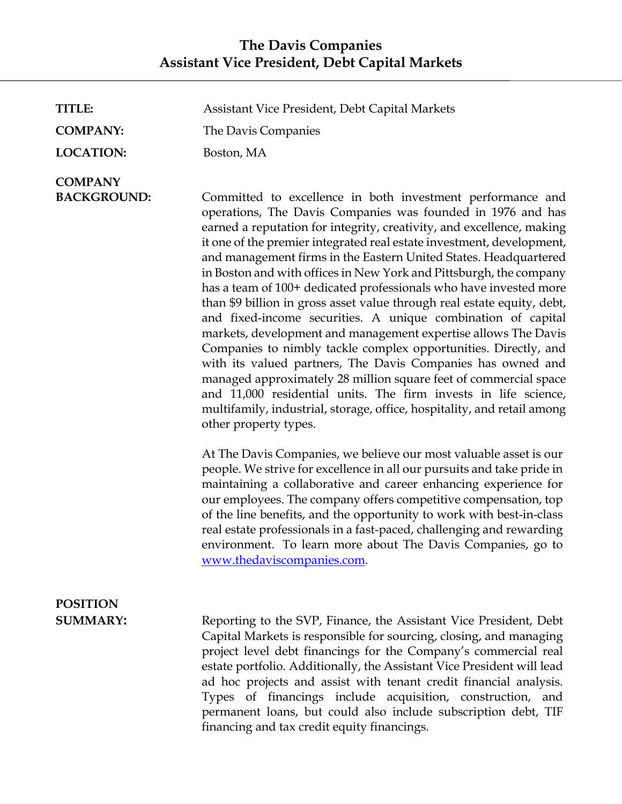| TITLE:                               | Assistant Vice President, Debt Capital Markets                                                                                                                                                                                                                                                                                                                                                                                                                                                                                                                                                                                                                                                                                                                                                                                                                                                                                                                                                                                                                                       |
|--------------------------------------|--------------------------------------------------------------------------------------------------------------------------------------------------------------------------------------------------------------------------------------------------------------------------------------------------------------------------------------------------------------------------------------------------------------------------------------------------------------------------------------------------------------------------------------------------------------------------------------------------------------------------------------------------------------------------------------------------------------------------------------------------------------------------------------------------------------------------------------------------------------------------------------------------------------------------------------------------------------------------------------------------------------------------------------------------------------------------------------|
| <b>COMPANY:</b>                      | The Davis Companies                                                                                                                                                                                                                                                                                                                                                                                                                                                                                                                                                                                                                                                                                                                                                                                                                                                                                                                                                                                                                                                                  |
| <b>LOCATION:</b>                     | Boston, MA                                                                                                                                                                                                                                                                                                                                                                                                                                                                                                                                                                                                                                                                                                                                                                                                                                                                                                                                                                                                                                                                           |
| <b>COMPANY</b><br><b>BACKGROUND:</b> | Committed to excellence in both investment performance and<br>operations, The Davis Companies was founded in 1976 and has<br>earned a reputation for integrity, creativity, and excellence, making<br>it one of the premier integrated real estate investment, development,<br>and management firms in the Eastern United States. Headquartered<br>in Boston and with offices in New York and Pittsburgh, the company<br>has a team of 100+ dedicated professionals who have invested more<br>than \$9 billion in gross asset value through real estate equity, debt,<br>and fixed-income securities. A unique combination of capital<br>markets, development and management expertise allows The Davis<br>Companies to nimbly tackle complex opportunities. Directly, and<br>with its valued partners, The Davis Companies has owned and<br>managed approximately 28 million square feet of commercial space<br>and 11,000 residential units. The firm invests in life science,<br>multifamily, industrial, storage, office, hospitality, and retail among<br>other property types. |
|                                      | At The Davis Companies, we believe our most valuable asset is our<br>people. We strive for excellence in all our pursuits and take pride in<br>maintaining a collaborative and career enhancing experience for<br>our employees. The company offers competitive compensation, top<br>of the line benefits, and the opportunity to work with best-in-class<br>real estate professionals in a fast-paced, challenging and rewarding<br>environment. To learn more about The Davis Companies, go to<br>www.thedaviscompanies.com.                                                                                                                                                                                                                                                                                                                                                                                                                                                                                                                                                       |
| <b>POSITION</b>                      |                                                                                                                                                                                                                                                                                                                                                                                                                                                                                                                                                                                                                                                                                                                                                                                                                                                                                                                                                                                                                                                                                      |
| <b>SUMMARY:</b>                      | Reporting to the SVP, Finance, the Assistant Vice President, Debt<br>Capital Markets is responsible for sourcing, closing, and managing<br>project level debt financings for the Company's commercial real<br>estate portfolio. Additionally, the Assistant Vice President will lead<br>ad hoc projects and assist with tenant credit financial analysis.<br>Types of financings include acquisition, construction, and<br>permanent loans, but could also include subscription debt, TIF<br>financing and tax credit equity financings.                                                                                                                                                                                                                                                                                                                                                                                                                                                                                                                                             |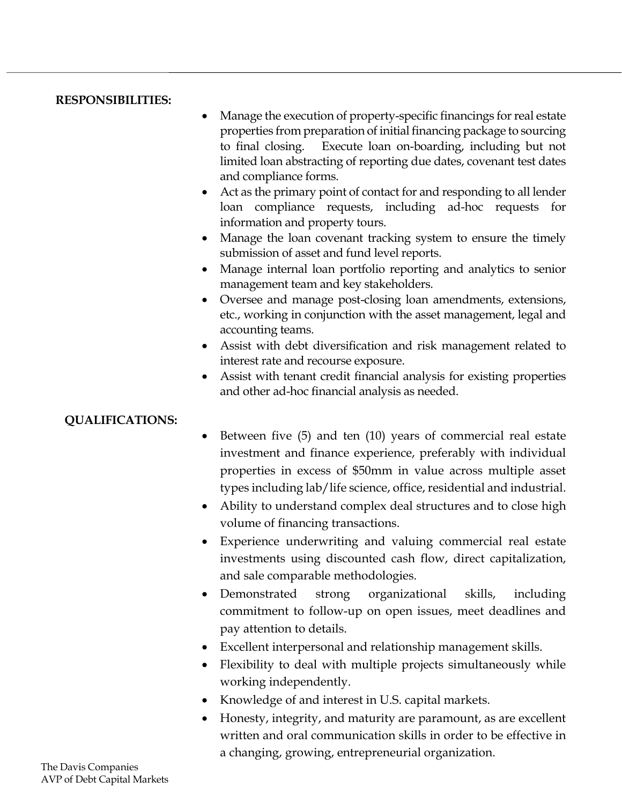## **RESPONSIBILITIES:**

- Manage the execution of property-specific financings for real estate properties from preparation of initial financing package to sourcing to final closing. Execute loan on-boarding, including but not limited loan abstracting of reporting due dates, covenant test dates and compliance forms.
- Act as the primary point of contact for and responding to all lender loan compliance requests, including ad-hoc requests for information and property tours.
- Manage the loan covenant tracking system to ensure the timely submission of asset and fund level reports.
- Manage internal loan portfolio reporting and analytics to senior management team and key stakeholders.
- Oversee and manage post-closing loan amendments, extensions, etc., working in conjunction with the asset management, legal and accounting teams.
- Assist with debt diversification and risk management related to interest rate and recourse exposure.
- Assist with tenant credit financial analysis for existing properties and other ad-hoc financial analysis as needed.

## **QUALIFICATIONS:**

- Between five (5) and ten (10) years of commercial real estate investment and finance experience, preferably with individual properties in excess of \$50mm in value across multiple asset types including lab/life science, office, residential and industrial.
- Ability to understand complex deal structures and to close high volume of financing transactions.
- Experience underwriting and valuing commercial real estate investments using discounted cash flow, direct capitalization, and sale comparable methodologies.
- Demonstrated strong organizational skills, including commitment to follow-up on open issues, meet deadlines and pay attention to details.
- Excellent interpersonal and relationship management skills.
- Flexibility to deal with multiple projects simultaneously while working independently.
- Knowledge of and interest in U.S. capital markets.
- Honesty, integrity, and maturity are paramount, as are excellent written and oral communication skills in order to be effective in a changing, growing, entrepreneurial organization.